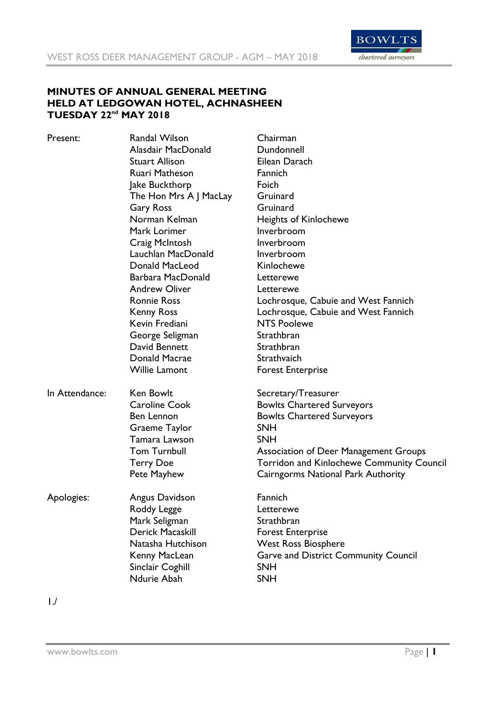

# **MINUTES OF ANNUAL GENERAL MEETING HELD AT LEDGOWAN HOTEL, ACHNASHEEN TUESDAY 22nd MAY 2018**

| Present:       | Randal Wilson          | Chairman                                         |
|----------------|------------------------|--------------------------------------------------|
|                | Alasdair MacDonald     | Dundonnell                                       |
|                | <b>Stuart Allison</b>  | Eilean Darach                                    |
|                | Ruari Matheson         | Fannich                                          |
|                | Jake Buckthorp         | Foich                                            |
|                | The Hon Mrs A J MacLay | Gruinard                                         |
|                | <b>Gary Ross</b>       | Gruinard                                         |
|                | Norman Kelman          | <b>Heights of Kinlochewe</b>                     |
|                | Mark Lorimer           | Inverbroom                                       |
|                | Craig McIntosh         | Inverbroom                                       |
|                | Lauchlan MacDonald     | Inverbroom                                       |
|                | Donald MacLeod         | Kinlochewe                                       |
|                | Barbara MacDonald      | Letterewe                                        |
|                | <b>Andrew Oliver</b>   | Letterewe                                        |
|                | <b>Ronnie Ross</b>     | Lochrosque, Cabuie and West Fannich              |
|                | <b>Kenny Ross</b>      | Lochrosque, Cabuie and West Fannich              |
|                | Kevin Frediani         | <b>NTS Poolewe</b>                               |
|                | George Seligman        | Strathbran                                       |
|                | David Bennett          | Strathbran                                       |
|                | Donald Macrae          | Strathvaich                                      |
|                | <b>Willie Lamont</b>   | <b>Forest Enterprise</b>                         |
| In Attendance: | Ken Bowlt              | Secretary/Treasurer                              |
|                | <b>Caroline Cook</b>   | <b>Bowlts Chartered Surveyors</b>                |
|                | Ben Lennon             | <b>Bowlts Chartered Surveyors</b>                |
|                | <b>Graeme Taylor</b>   | <b>SNH</b>                                       |
|                | Tamara Lawson          | <b>SNH</b>                                       |
|                | <b>Tom Turnbull</b>    | <b>Association of Deer Management Groups</b>     |
|                | <b>Terry Doe</b>       | <b>Torridon and Kinlochewe Community Council</b> |
|                | Pete Mayhew            | Cairngorms National Park Authority               |
| Apologies:     | Angus Davidson         | Fannich                                          |
|                | Roddy Legge            | Letterewe                                        |
|                | Mark Seligman          | Strathbran                                       |
|                | Derick Macaskill       | <b>Forest Enterprise</b>                         |
|                | Natasha Hutchison      | <b>West Ross Biosphere</b>                       |
|                |                        |                                                  |
|                | Kenny MacLean          | <b>Garve and District Community Council</b>      |
|                | Sinclair Coghill       | <b>SNH</b>                                       |

1./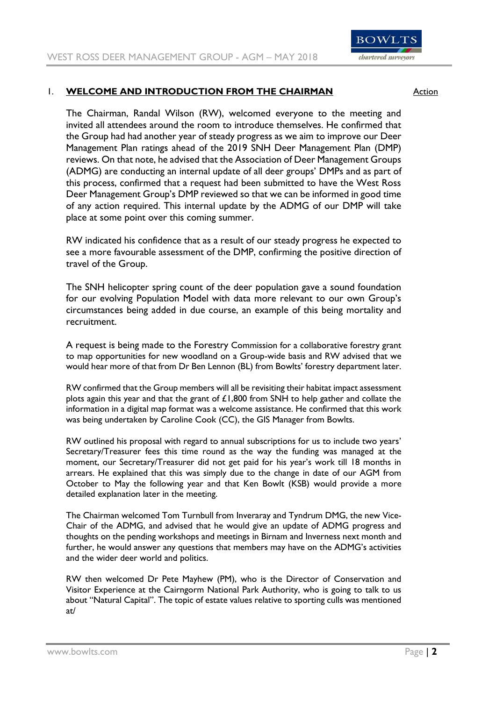

# 1. **WELCOME AND INTRODUCTION FROM THE CHAIRMAN** Action

The Chairman, Randal Wilson (RW), welcomed everyone to the meeting and invited all attendees around the room to introduce themselves. He confirmed that the Group had had another year of steady progress as we aim to improve our Deer Management Plan ratings ahead of the 2019 SNH Deer Management Plan (DMP) reviews. On that note, he advised that the Association of Deer Management Groups (ADMG) are conducting an internal update of all deer groups' DMPs and as part of this process, confirmed that a request had been submitted to have the West Ross Deer Management Group's DMP reviewed so that we can be informed in good time of any action required. This internal update by the ADMG of our DMP will take place at some point over this coming summer.

RW indicated his confidence that as a result of our steady progress he expected to see a more favourable assessment of the DMP, confirming the positive direction of travel of the Group.

The SNH helicopter spring count of the deer population gave a sound foundation for our evolving Population Model with data more relevant to our own Group's circumstances being added in due course, an example of this being mortality and recruitment.

A request is being made to the Forestry Commission for a collaborative forestry grant to map opportunities for new woodland on a Group-wide basis and RW advised that we would hear more of that from Dr Ben Lennon (BL) from Bowlts' forestry department later.

RW confirmed that the Group members will all be revisiting their habitat impact assessment plots again this year and that the grant of  $£1,800$  from SNH to help gather and collate the information in a digital map format was a welcome assistance. He confirmed that this work was being undertaken by Caroline Cook (CC), the GIS Manager from Bowlts.

RW outlined his proposal with regard to annual subscriptions for us to include two years' Secretary/Treasurer fees this time round as the way the funding was managed at the moment, our Secretary/Treasurer did not get paid for his year's work till 18 months in arrears. He explained that this was simply due to the change in date of our AGM from October to May the following year and that Ken Bowlt (KSB) would provide a more detailed explanation later in the meeting.

The Chairman welcomed Tom Turnbull from Inveraray and Tyndrum DMG, the new Vice-Chair of the ADMG, and advised that he would give an update of ADMG progress and thoughts on the pending workshops and meetings in Birnam and Inverness next month and further, he would answer any questions that members may have on the ADMG's activities and the wider deer world and politics.

RW then welcomed Dr Pete Mayhew (PM), who is the Director of Conservation and Visitor Experience at the Cairngorm National Park Authority, who is going to talk to us about "Natural Capital". The topic of estate values relative to sporting culls was mentioned at/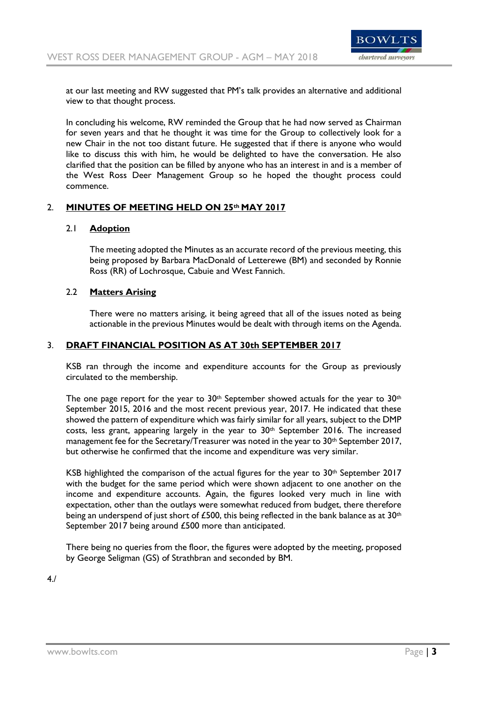

at our last meeting and RW suggested that PM's talk provides an alternative and additional view to that thought process.

In concluding his welcome, RW reminded the Group that he had now served as Chairman for seven years and that he thought it was time for the Group to collectively look for a new Chair in the not too distant future. He suggested that if there is anyone who would like to discuss this with him, he would be delighted to have the conversation. He also clarified that the position can be filled by anyone who has an interest in and is a member of the West Ross Deer Management Group so he hoped the thought process could commence.

### 2. **MINUTES OF MEETING HELD ON 25th MAY 2017**

#### 2.1 **Adoption**

The meeting adopted the Minutes as an accurate record of the previous meeting, this being proposed by Barbara MacDonald of Letterewe (BM) and seconded by Ronnie Ross (RR) of Lochrosque, Cabuie and West Fannich.

### 2.2 **Matters Arising**

There were no matters arising, it being agreed that all of the issues noted as being actionable in the previous Minutes would be dealt with through items on the Agenda.

#### 3. **DRAFT FINANCIAL POSITION AS AT 30th SEPTEMBER 2017**

KSB ran through the income and expenditure accounts for the Group as previously circulated to the membership.

The one page report for the year to  $30<sup>th</sup>$  September showed actuals for the year to  $30<sup>th</sup>$ September 2015, 2016 and the most recent previous year, 2017. He indicated that these showed the pattern of expenditure which was fairly similar for all years, subject to the DMP costs, less grant, appearing largely in the year to  $30<sup>th</sup>$  September 2016. The increased management fee for the Secretary/Treasurer was noted in the year to  $30<sup>th</sup>$  September 2017, but otherwise he confirmed that the income and expenditure was very similar.

KSB highlighted the comparison of the actual figures for the year to  $30<sup>th</sup>$  September 2017 with the budget for the same period which were shown adjacent to one another on the income and expenditure accounts. Again, the figures looked very much in line with expectation, other than the outlays were somewhat reduced from budget, there therefore being an underspend of just short of £500, this being reflected in the bank balance as at  $30<sup>th</sup>$ September 2017 being around £500 more than anticipated.

There being no queries from the floor, the figures were adopted by the meeting, proposed by George Seligman (GS) of Strathbran and seconded by BM.

4./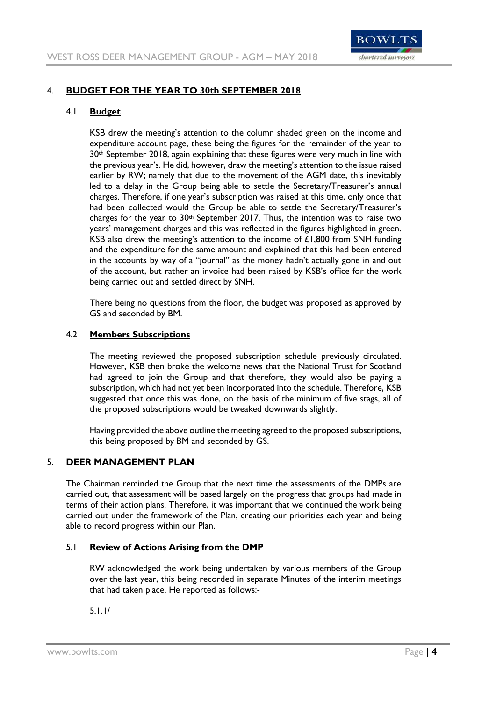

# 4. **BUDGET FOR THE YEAR TO 30th SEPTEMBER 2018**

### 4.1 **Budget**

KSB drew the meeting's attention to the column shaded green on the income and expenditure account page, these being the figures for the remainder of the year to 30<sup>th</sup> September 2018, again explaining that these figures were very much in line with the previous year's. He did, however, draw the meeting's attention to the issue raised earlier by RW; namely that due to the movement of the AGM date, this inevitably led to a delay in the Group being able to settle the Secretary/Treasurer's annual charges. Therefore, if one year's subscription was raised at this time, only once that had been collected would the Group be able to settle the Secretary/Treasurer's charges for the year to  $30<sup>th</sup>$  September 2017. Thus, the intention was to raise two years' management charges and this was reflected in the figures highlighted in green. KSB also drew the meeting's attention to the income of  $£1,800$  from SNH funding and the expenditure for the same amount and explained that this had been entered in the accounts by way of a "journal" as the money hadn't actually gone in and out of the account, but rather an invoice had been raised by KSB's office for the work being carried out and settled direct by SNH.

There being no questions from the floor, the budget was proposed as approved by GS and seconded by BM.

### 4.2 **Members Subscriptions**

The meeting reviewed the proposed subscription schedule previously circulated. However, KSB then broke the welcome news that the National Trust for Scotland had agreed to join the Group and that therefore, they would also be paying a subscription, which had not yet been incorporated into the schedule. Therefore, KSB suggested that once this was done, on the basis of the minimum of five stags, all of the proposed subscriptions would be tweaked downwards slightly.

Having provided the above outline the meeting agreed to the proposed subscriptions, this being proposed by BM and seconded by GS.

## 5. **DEER MANAGEMENT PLAN**

The Chairman reminded the Group that the next time the assessments of the DMPs are carried out, that assessment will be based largely on the progress that groups had made in terms of their action plans. Therefore, it was important that we continued the work being carried out under the framework of the Plan, creating our priorities each year and being able to record progress within our Plan.

## 5.1 **Review of Actions Arising from the DMP**

RW acknowledged the work being undertaken by various members of the Group over the last year, this being recorded in separate Minutes of the interim meetings that had taken place. He reported as follows:-

5.1.1/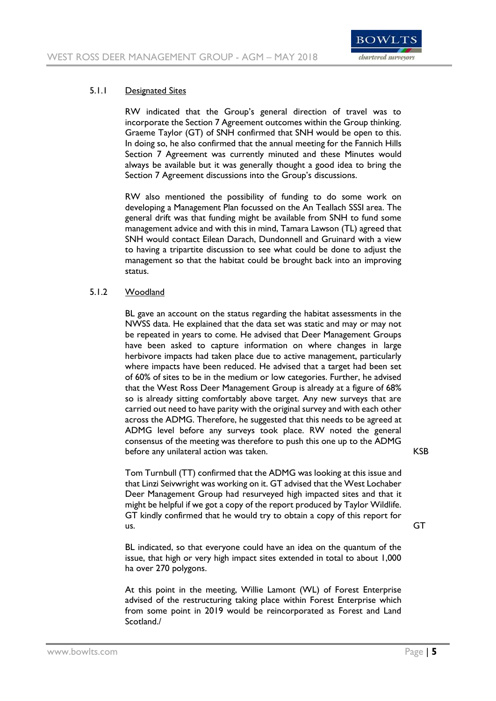

### 5.1.1 Designated Sites

RW indicated that the Group's general direction of travel was to incorporate the Section 7 Agreement outcomes within the Group thinking. Graeme Taylor (GT) of SNH confirmed that SNH would be open to this. In doing so, he also confirmed that the annual meeting for the Fannich Hills Section 7 Agreement was currently minuted and these Minutes would always be available but it was generally thought a good idea to bring the Section 7 Agreement discussions into the Group's discussions.

RW also mentioned the possibility of funding to do some work on developing a Management Plan focussed on the An Teallach SSSI area. The general drift was that funding might be available from SNH to fund some management advice and with this in mind, Tamara Lawson (TL) agreed that SNH would contact Eilean Darach, Dundonnell and Gruinard with a view to having a tripartite discussion to see what could be done to adjust the management so that the habitat could be brought back into an improving status.

### 5.1.2 Woodland

BL gave an account on the status regarding the habitat assessments in the NWSS data. He explained that the data set was static and may or may not be repeated in years to come. He advised that Deer Management Groups have been asked to capture information on where changes in large herbivore impacts had taken place due to active management, particularly where impacts have been reduced. He advised that a target had been set of 60% of sites to be in the medium or low categories. Further, he advised that the West Ross Deer Management Group is already at a figure of 68% so is already sitting comfortably above target. Any new surveys that are carried out need to have parity with the original survey and with each other across the ADMG. Therefore, he suggested that this needs to be agreed at ADMG level before any surveys took place. RW noted the general consensus of the meeting was therefore to push this one up to the ADMG before any unilateral action was taken. The settlement of the KSB

Tom Turnbull (TT) confirmed that the ADMG was looking at this issue and that Linzi Seivwright was working on it. GT advised that the West Lochaber Deer Management Group had resurveyed high impacted sites and that it might be helpful if we got a copy of the report produced by Taylor Wildlife. GT kindly confirmed that he would try to obtain a copy of this report for us. GT

BL indicated, so that everyone could have an idea on the quantum of the issue, that high or very high impact sites extended in total to about 1,000 ha over 270 polygons.

At this point in the meeting, Willie Lamont (WL) of Forest Enterprise advised of the restructuring taking place within Forest Enterprise which from some point in 2019 would be reincorporated as Forest and Land Scotland./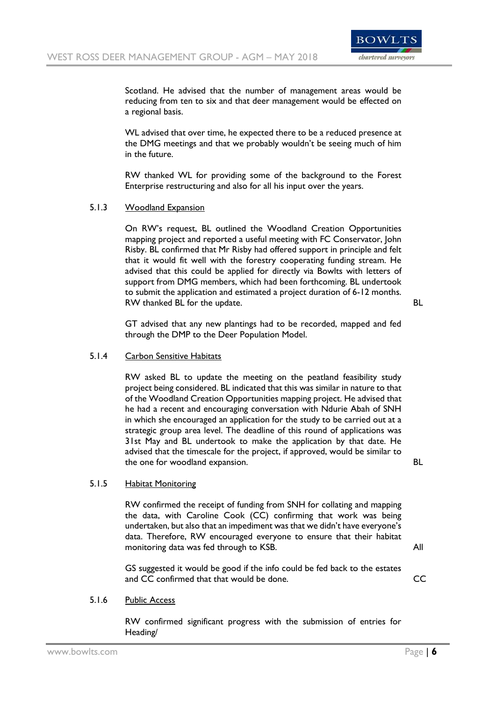

Scotland. He advised that the number of management areas would be reducing from ten to six and that deer management would be effected on a regional basis.

WL advised that over time, he expected there to be a reduced presence at the DMG meetings and that we probably wouldn't be seeing much of him in the future.

RW thanked WL for providing some of the background to the Forest Enterprise restructuring and also for all his input over the years.

#### 5.1.3 Woodland Expansion

On RW's request, BL outlined the Woodland Creation Opportunities mapping project and reported a useful meeting with FC Conservator, John Risby. BL confirmed that Mr Risby had offered support in principle and felt that it would fit well with the forestry cooperating funding stream. He advised that this could be applied for directly via Bowlts with letters of support from DMG members, which had been forthcoming. BL undertook to submit the application and estimated a project duration of 6-12 months. RW thanked BL for the update. BL

GT advised that any new plantings had to be recorded, mapped and fed through the DMP to the Deer Population Model.

#### 5.1.4 Carbon Sensitive Habitats

RW asked BL to update the meeting on the peatland feasibility study project being considered. BL indicated that this was similar in nature to that of the Woodland Creation Opportunities mapping project. He advised that he had a recent and encouraging conversation with Ndurie Abah of SNH in which she encouraged an application for the study to be carried out at a strategic group area level. The deadline of this round of applications was 31st May and BL undertook to make the application by that date. He advised that the timescale for the project, if approved, would be similar to the one for woodland expansion. The state of the state of  $BL$ 

#### 5.1.5 Habitat Monitoring

RW confirmed the receipt of funding from SNH for collating and mapping the data, with Caroline Cook (CC) confirming that work was being undertaken, but also that an impediment was that we didn't have everyone's data. Therefore, RW encouraged everyone to ensure that their habitat monitoring data was fed through to KSB. All

GS suggested it would be good if the info could be fed back to the estates and CC confirmed that that would be done.

#### 5.1.6 Public Access

RW confirmed significant progress with the submission of entries for Heading/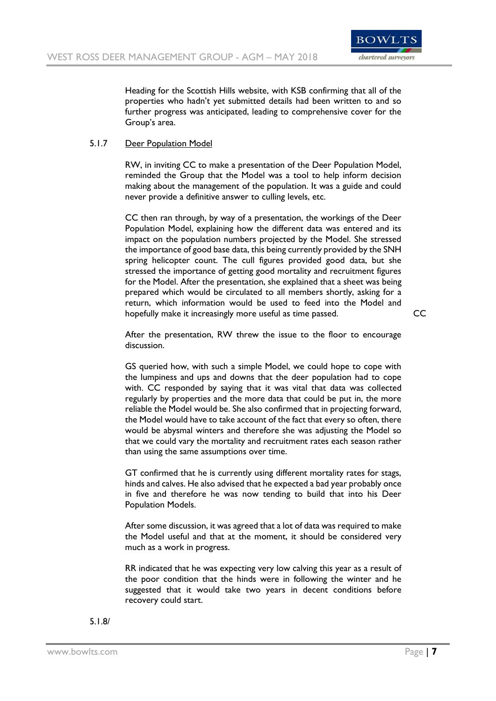

Heading for the Scottish Hills website, with KSB confirming that all of the properties who hadn't yet submitted details had been written to and so further progress was anticipated, leading to comprehensive cover for the Group's area.

## 5.1.7 Deer Population Model

RW, in inviting CC to make a presentation of the Deer Population Model, reminded the Group that the Model was a tool to help inform decision making about the management of the population. It was a guide and could never provide a definitive answer to culling levels, etc.

CC then ran through, by way of a presentation, the workings of the Deer Population Model, explaining how the different data was entered and its impact on the population numbers projected by the Model. She stressed the importance of good base data, this being currently provided by the SNH spring helicopter count. The cull figures provided good data, but she stressed the importance of getting good mortality and recruitment figures for the Model. After the presentation, she explained that a sheet was being prepared which would be circulated to all members shortly, asking for a return, which information would be used to feed into the Model and hopefully make it increasingly more useful as time passed. CC

After the presentation, RW threw the issue to the floor to encourage discussion.

GS queried how, with such a simple Model, we could hope to cope with the lumpiness and ups and downs that the deer population had to cope with. CC responded by saying that it was vital that data was collected regularly by properties and the more data that could be put in, the more reliable the Model would be. She also confirmed that in projecting forward, the Model would have to take account of the fact that every so often, there would be abysmal winters and therefore she was adjusting the Model so that we could vary the mortality and recruitment rates each season rather than using the same assumptions over time.

GT confirmed that he is currently using different mortality rates for stags, hinds and calves. He also advised that he expected a bad year probably once in five and therefore he was now tending to build that into his Deer Population Models.

After some discussion, it was agreed that a lot of data was required to make the Model useful and that at the moment, it should be considered very much as a work in progress.

RR indicated that he was expecting very low calving this year as a result of the poor condition that the hinds were in following the winter and he suggested that it would take two years in decent conditions before recovery could start.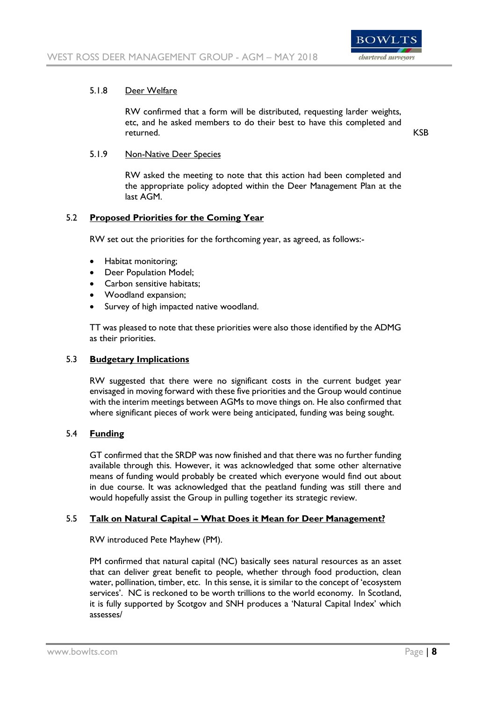

### 5.1.8 Deer Welfare

RW confirmed that a form will be distributed, requesting larder weights, etc, and he asked members to do their best to have this completed and returned. KSB

### 5.1.9 Non-Native Deer Species

RW asked the meeting to note that this action had been completed and the appropriate policy adopted within the Deer Management Plan at the last AGM.

## 5.2 **Proposed Priorities for the Coming Year**

RW set out the priorities for the forthcoming year, as agreed, as follows:-

- Habitat monitoring;
- Deer Population Model;
- Carbon sensitive habitats;
- Woodland expansion;
- Survey of high impacted native woodland.

TT was pleased to note that these priorities were also those identified by the ADMG as their priorities.

#### 5.3 **Budgetary Implications**

RW suggested that there were no significant costs in the current budget year envisaged in moving forward with these five priorities and the Group would continue with the interim meetings between AGMs to move things on. He also confirmed that where significant pieces of work were being anticipated, funding was being sought.

#### 5.4 **Funding**

GT confirmed that the SRDP was now finished and that there was no further funding available through this. However, it was acknowledged that some other alternative means of funding would probably be created which everyone would find out about in due course. It was acknowledged that the peatland funding was still there and would hopefully assist the Group in pulling together its strategic review.

#### 5.5 **Talk on Natural Capital – What Does it Mean for Deer Management?**

RW introduced Pete Mayhew (PM).

PM confirmed that natural capital (NC) basically sees natural resources as an asset that can deliver great benefit to people, whether through food production, clean water, pollination, timber, etc. In this sense, it is similar to the concept of 'ecosystem services'. NC is reckoned to be worth trillions to the world economy. In Scotland, it is fully supported by Scotgov and SNH produces a 'Natural Capital Index' which assesses/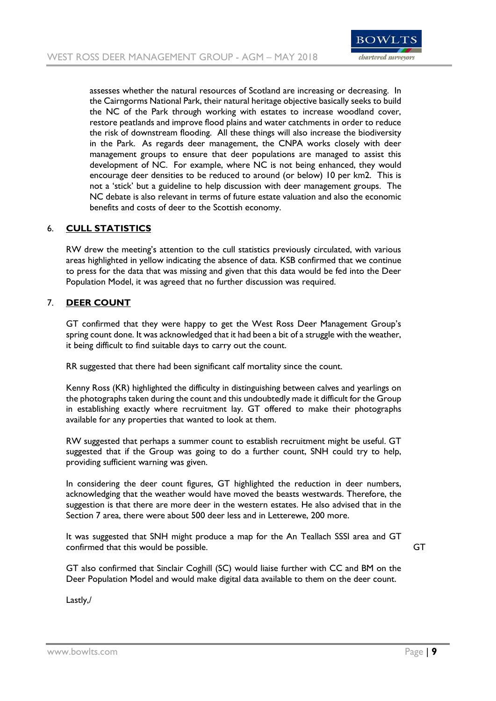

assesses whether the natural resources of Scotland are increasing or decreasing. In the Cairngorms National Park, their natural heritage objective basically seeks to build the NC of the Park through working with estates to increase woodland cover, restore peatlands and improve flood plains and water catchments in order to reduce the risk of downstream flooding. All these things will also increase the biodiversity in the Park. As regards deer management, the CNPA works closely with deer management groups to ensure that deer populations are managed to assist this development of NC. For example, where NC is not being enhanced, they would encourage deer densities to be reduced to around (or below) 10 per km2. This is not a 'stick' but a guideline to help discussion with deer management groups. The NC debate is also relevant in terms of future estate valuation and also the economic benefits and costs of deer to the Scottish economy.

# 6. **CULL STATISTICS**

RW drew the meeting's attention to the cull statistics previously circulated, with various areas highlighted in yellow indicating the absence of data. KSB confirmed that we continue to press for the data that was missing and given that this data would be fed into the Deer Population Model, it was agreed that no further discussion was required.

## 7. **DEER COUNT**

GT confirmed that they were happy to get the West Ross Deer Management Group's spring count done. It was acknowledged that it had been a bit of a struggle with the weather, it being difficult to find suitable days to carry out the count.

RR suggested that there had been significant calf mortality since the count.

Kenny Ross (KR) highlighted the difficulty in distinguishing between calves and yearlings on the photographs taken during the count and this undoubtedly made it difficult for the Group in establishing exactly where recruitment lay. GT offered to make their photographs available for any properties that wanted to look at them.

RW suggested that perhaps a summer count to establish recruitment might be useful. GT suggested that if the Group was going to do a further count, SNH could try to help, providing sufficient warning was given.

In considering the deer count figures, GT highlighted the reduction in deer numbers, acknowledging that the weather would have moved the beasts westwards. Therefore, the suggestion is that there are more deer in the western estates. He also advised that in the Section 7 area, there were about 500 deer less and in Letterewe, 200 more.

It was suggested that SNH might produce a map for the An Teallach SSSI area and GT confirmed that this would be possible. GT and the state of the state of GT confirmed that this would be possible.

GT also confirmed that Sinclair Coghill (SC) would liaise further with CC and BM on the Deer Population Model and would make digital data available to them on the deer count.

Lastly,/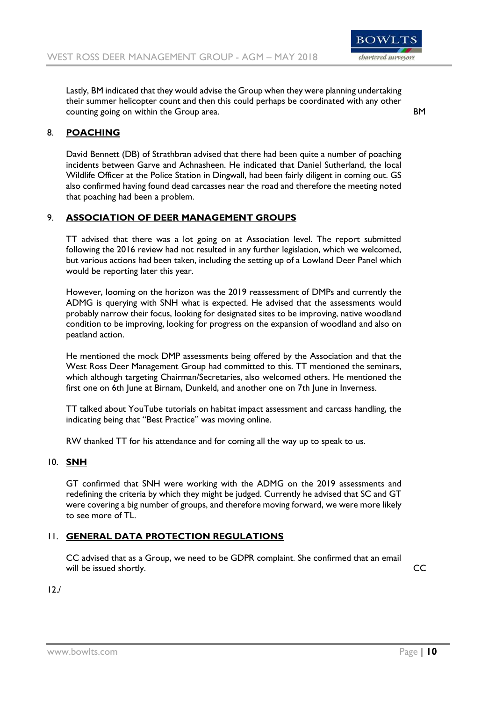

Lastly, BM indicated that they would advise the Group when they were planning undertaking their summer helicopter count and then this could perhaps be coordinated with any other counting going on within the Group area. BM

# 8. **POACHING**

David Bennett (DB) of Strathbran advised that there had been quite a number of poaching incidents between Garve and Achnasheen. He indicated that Daniel Sutherland, the local Wildlife Officer at the Police Station in Dingwall, had been fairly diligent in coming out. GS also confirmed having found dead carcasses near the road and therefore the meeting noted that poaching had been a problem.

# 9. **ASSOCIATION OF DEER MANAGEMENT GROUPS**

TT advised that there was a lot going on at Association level. The report submitted following the 2016 review had not resulted in any further legislation, which we welcomed, but various actions had been taken, including the setting up of a Lowland Deer Panel which would be reporting later this year.

However, looming on the horizon was the 2019 reassessment of DMPs and currently the ADMG is querying with SNH what is expected. He advised that the assessments would probably narrow their focus, looking for designated sites to be improving, native woodland condition to be improving, looking for progress on the expansion of woodland and also on peatland action.

He mentioned the mock DMP assessments being offered by the Association and that the West Ross Deer Management Group had committed to this. TT mentioned the seminars, which although targeting Chairman/Secretaries, also welcomed others. He mentioned the first one on 6th June at Birnam, Dunkeld, and another one on 7th June in Inverness.

TT talked about YouTube tutorials on habitat impact assessment and carcass handling, the indicating being that "Best Practice" was moving online.

RW thanked TT for his attendance and for coming all the way up to speak to us.

# 10. **SNH**

GT confirmed that SNH were working with the ADMG on the 2019 assessments and redefining the criteria by which they might be judged. Currently he advised that SC and GT were covering a big number of groups, and therefore moving forward, we were more likely to see more of TL.

## 11. **GENERAL DATA PROTECTION REGULATIONS**

CC advised that as a Group, we need to be GDPR complaint. She confirmed that an email will be issued shortly. CC

12./